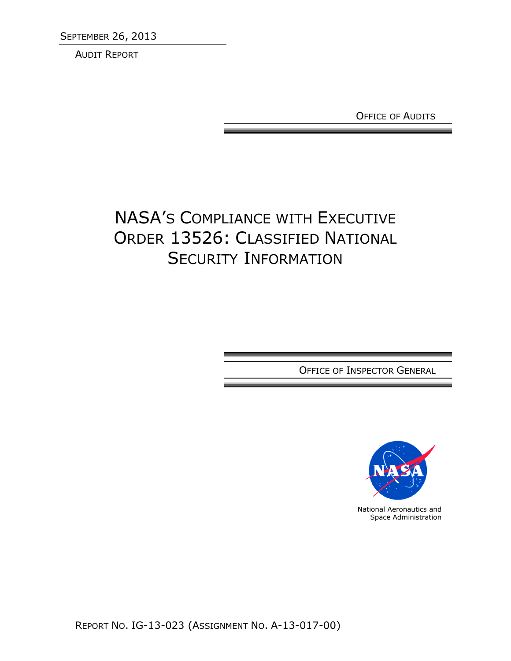**SEPTEMBER 26, 2013** 

AUDIT REPORT

OFFICE OF AUDITS

# NASA'S COMPLIANCE WITH EXECUTIVE ORDER 13526: CLASSIFIED NATIONAL SECURITY INFORMATION

OFFICE OF INSPECTOR GENERAL



National Aeronautics and Space Administration

REPORT NO. IG-13-023 (ASSIGNMENT NO. A-13-017-00)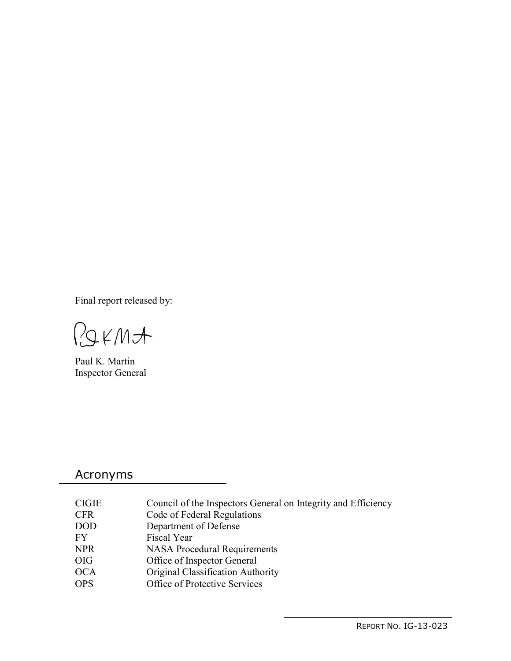Final report released by:

RIKMA

Paul K. Martin Inspector General

# Acronyms

| CIGIE      | Council of the Inspectors General on Integrity and Efficiency |
|------------|---------------------------------------------------------------|
| CFR        | Code of Federal Regulations                                   |
| DOD        | Department of Defense                                         |
| FY         | Fiscal Year                                                   |
| <b>NPR</b> | <b>NASA Procedural Requirements</b>                           |
| OIG        | Office of Inspector General                                   |
| <b>OCA</b> | Original Classification Authority                             |
| <b>OPS</b> | Office of Protective Services                                 |
|            |                                                               |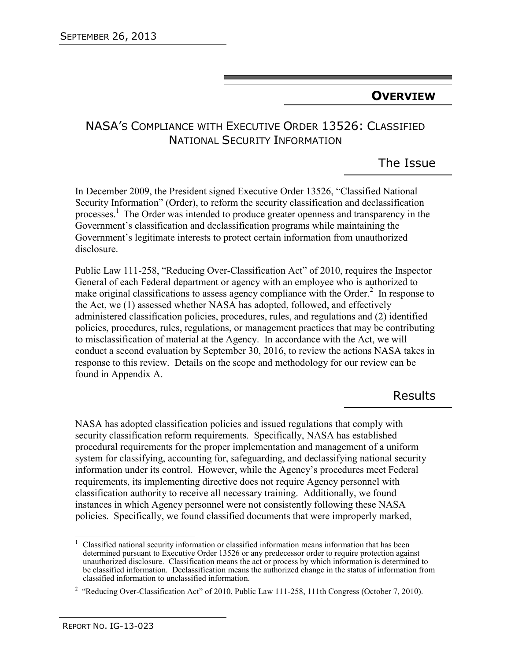# **OVERVIEW**

# NASA'S COMPLIANCE WITH EXECUTIVE ORDER 13526: CLASSIFIED NATIONAL SECURITY INFORMATION

The Issue

In December 2009, the President signed Executive Order 13526, "Classified National Security Information" (Order), to reform the security classification and declassification processes.<sup>1</sup> The Order was intended to produce greater openness and transparency in the Government's classification and declassification programs while maintaining the Government's legitimate interests to protect certain information from unauthorized disclosure.

Public Law 111-258, "Reducing Over-Classification Act" of 2010, requires the Inspector General of each Federal department or agency with an employee who is authorized to make original classifications to assess agency compliance with the Order. $2$  In response to the Act, we (1) assessed whether NASA has adopted, followed, and effectively administered classification policies, procedures, rules, and regulations and (2) identified policies, procedures, rules, regulations, or management practices that may be contributing to misclassification of material at the Agency. In accordance with the Act, we will conduct a second evaluation by September 30, 2016, to review the actions NASA takes in response to this review. Details on the scope and methodology for our review can be found in Appendix A.

# Results

NASA has adopted classification policies and issued regulations that comply with security classification reform requirements. Specifically, NASA has established procedural requirements for the proper implementation and management of a uniform system for classifying, accounting for, safeguarding, and declassifying national security information under its control. However, while the Agency's procedures meet Federal requirements, its implementing directive does not require Agency personnel with classification authority to receive all necessary training. Additionally, we found instances in which Agency personnel were not consistently following these NASA policies. Specifically, we found classified documents that were improperly marked,

 $\overline{1}$ 1 Classified national security information or classified information means information that has been determined pursuant to Executive Order 13526 or any predecessor order to require protection against unauthorized disclosure. Classification means the act or process by which information is determined to be classified information. Declassification means the authorized change in the status of information from classified information to unclassified information.

<sup>&</sup>lt;sup>2</sup> "Reducing Over-Classification Act" of 2010, Public Law 111-258, 111th Congress (October 7, 2010).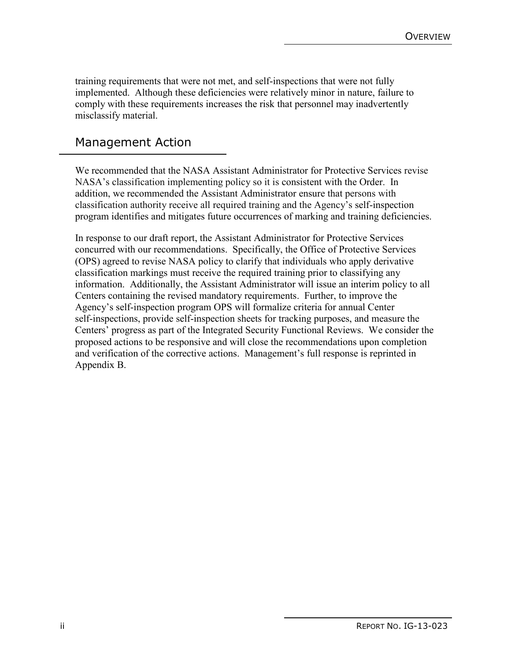training requirements that were not met, and self-inspections that were not fully implemented. Although these deficiencies were relatively minor in nature, failure to comply with these requirements increases the risk that personnel may inadvertently misclassify material.

# Management Action

We recommended that the NASA Assistant Administrator for Protective Services revise NASA's classification implementing policy so it is consistent with the Order. In addition, we recommended the Assistant Administrator ensure that persons with classification authority receive all required training and the Agency's self-inspection program identifies and mitigates future occurrences of marking and training deficiencies.

In response to our draft report, the Assistant Administrator for Protective Services concurred with our recommendations. Specifically, the Office of Protective Services (OPS) agreed to revise NASA policy to clarify that individuals who apply derivative classification markings must receive the required training prior to classifying any information. Additionally, the Assistant Administrator will issue an interim policy to all Centers containing the revised mandatory requirements. Further, to improve the Agency's self-inspection program OPS will formalize criteria for annual Center self-inspections, provide self-inspection sheets for tracking purposes, and measure the Centers' progress as part of the Integrated Security Functional Reviews. We consider the proposed actions to be responsive and will close the recommendations upon completion and verification of the corrective actions. Management's full response is reprinted in Appendix B.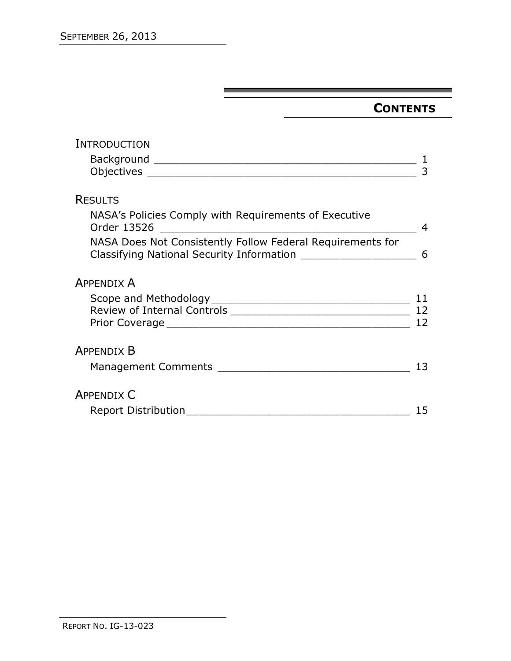# **CONTENTS**

| INTRODUCTION                                                                                                                                                                                  |    |
|-----------------------------------------------------------------------------------------------------------------------------------------------------------------------------------------------|----|
|                                                                                                                                                                                               |    |
|                                                                                                                                                                                               |    |
|                                                                                                                                                                                               |    |
| <b>RESULTS</b>                                                                                                                                                                                |    |
| NASA's Policies Comply with Requirements of Executive<br>Order 13526<br><u> 2000 - Jan James James James James James James James James James James James James James James James James Ja</u> | 4  |
| NASA Does Not Consistently Follow Federal Requirements for<br>Classifying National Security Information _____________________                                                                 | 6  |
| <b>APPENDIX A</b>                                                                                                                                                                             |    |
|                                                                                                                                                                                               | 11 |
|                                                                                                                                                                                               |    |
|                                                                                                                                                                                               | 12 |
| <b>APPENDIX B</b>                                                                                                                                                                             |    |
|                                                                                                                                                                                               | 13 |
| <b>APPENDIX C</b>                                                                                                                                                                             |    |
|                                                                                                                                                                                               | 15 |
|                                                                                                                                                                                               |    |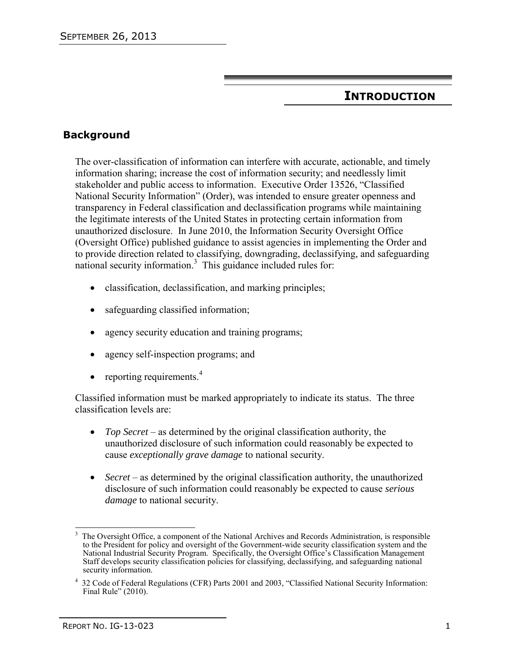# **INTRODUCTION**

# **Background**

The over-classification of information can interfere with accurate, actionable, and timely information sharing; increase the cost of information security; and needlessly limit stakeholder and public access to information. Executive Order 13526, "Classified National Security Information" (Order), was intended to ensure greater openness and transparency in Federal classification and declassification programs while maintaining the legitimate interests of the United States in protecting certain information from unauthorized disclosure. In June 2010, the Information Security Oversight Office (Oversight Office) published guidance to assist agencies in implementing the Order and to provide direction related to classifying, downgrading, declassifying, and safeguarding national security information.<sup>3</sup> This guidance included rules for:

- classification, declassification, and marking principles;
- safeguarding classified information;
- agency security education and training programs;
- agency self-inspection programs; and
- reporting requirements. $4$

Classified information must be marked appropriately to indicate its status. The three classification levels are:

- *Top Secret* as determined by the original classification authority, the unauthorized disclosure of such information could reasonably be expected to cause *exceptionally grave damage* to national security.
- *Secret* as determined by the original classification authority, the unauthorized disclosure of such information could reasonably be expected to cause *serious damage* to national security.

 $\overline{\phantom{a}}$ 3 The Oversight Office, a component of the National Archives and Records Administration, is responsible to the President for policy and oversight of the Government-wide security classification system and the National Industrial Security Program. Specifically, the Oversight Office's Classification Management Staff develops security classification policies for classifying, declassifying, and safeguarding national security information.

<sup>4</sup> 32 Code of Federal Regulations (CFR) Parts 2001 and 2003, "Classified National Security Information: Final Rule" (2010).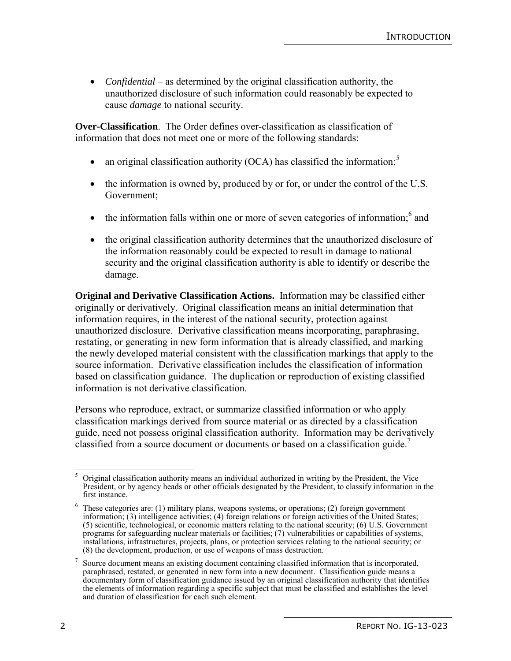*Confidential* – as determined by the original classification authority, the unauthorized disclosure of such information could reasonably be expected to cause *damage* to national security.

**Over-Classification**. The Order defines over-classification as classification of information that does not meet one or more of the following standards:

- an original classification authority (OCA) has classified the information;<sup>5</sup>
- the information is owned by, produced by or for, or under the control of the U.S. Government;
- $\bullet$  the information falls within one or more of seven categories of information;  $\delta$  and
- the original classification authority determines that the unauthorized disclosure of the information reasonably could be expected to result in damage to national security and the original classification authority is able to identify or describe the damage.

**Original and Derivative Classification Actions.** Information may be classified either originally or derivatively. Original classification means an initial determination that information requires, in the interest of the national security, protection against unauthorized disclosure. Derivative classification means incorporating, paraphrasing, restating, or generating in new form information that is already classified, and marking the newly developed material consistent with the classification markings that apply to the source information. Derivative classification includes the classification of information based on classification guidance. The duplication or reproduction of existing classified information is not derivative classification.

Persons who reproduce, extract, or summarize classified information or who apply classification markings derived from source material or as directed by a classification guide, need not possess original classification authority. Information may be derivatively classified from a source document or documents or based on a classification guide.<sup>7</sup>

 $\overline{\phantom{a}}$ 5 Original classification authority means an individual authorized in writing by the President, the Vice President, or by agency heads or other officials designated by the President, to classify information in the first instance.

 $6$  These categories are: (1) military plans, weapons systems, or operations; (2) foreign government information; (3) intelligence activities; (4) foreign relations or foreign activities of the United States; (5) scientific, technological, or economic matters relating to the national security; (6) U.S. Government programs for safeguarding nuclear materials or facilities; (7) vulnerabilities or capabilities of systems, installations, infrastructures, projects, plans, or protection services relating to the national security; or (8) the development, production, or use of weapons of mass destruction.

<sup>7</sup> Source document means an existing document containing classified information that is incorporated, paraphrased, restated, or generated in new form into a new document. Classification guide means a documentary form of classification guidance issued by an original classification authority that identifies the elements of information regarding a specific subject that must be classified and establishes the level and duration of classification for each such element.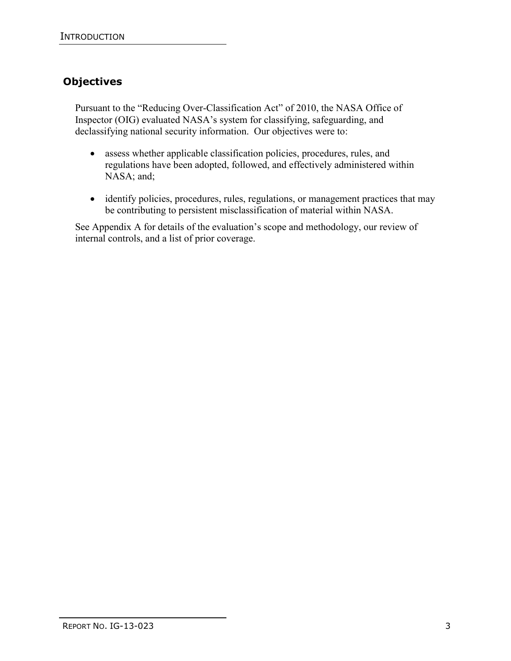# **Objectives**

Pursuant to the "Reducing Over-Classification Act" of 2010, the NASA Office of Inspector (OIG) evaluated NASA's system for classifying, safeguarding, and declassifying national security information. Our objectives were to:

- assess whether applicable classification policies, procedures, rules, and regulations have been adopted, followed, and effectively administered within NASA; and;
- identify policies, procedures, rules, regulations, or management practices that may be contributing to persistent misclassification of material within NASA.

See Appendix A for details of the evaluation's scope and methodology, our review of internal controls, and a list of prior coverage.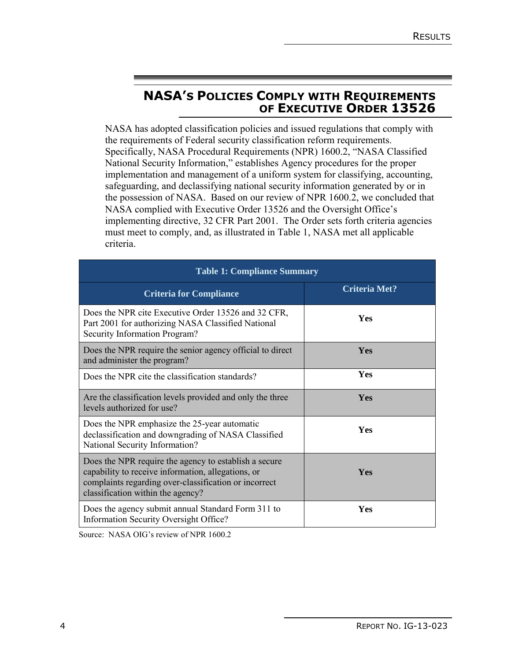# **NASA'S POLICIES COMPLY WITH REQUIREMENTS OF EXECUTIVE ORDER 13526**

NASA has adopted classification policies and issued regulations that comply with the requirements of Federal security classification reform requirements. Specifically, NASA Procedural Requirements (NPR) 1600.2, "NASA Classified National Security Information," establishes Agency procedures for the proper implementation and management of a uniform system for classifying, accounting, safeguarding, and declassifying national security information generated by or in the possession of NASA. Based on our review of NPR 1600.2, we concluded that NASA complied with Executive Order 13526 and the Oversight Office's implementing directive, 32 CFR Part 2001. The Order sets forth criteria agencies must meet to comply, and, as illustrated in Table 1, NASA met all applicable criteria.

| <b>Table 1: Compliance Summary</b>                                                                                                                                                                        |                      |  |  |  |
|-----------------------------------------------------------------------------------------------------------------------------------------------------------------------------------------------------------|----------------------|--|--|--|
| <b>Criteria for Compliance</b>                                                                                                                                                                            | <b>Criteria Met?</b> |  |  |  |
| Does the NPR cite Executive Order 13526 and 32 CFR,<br>Part 2001 for authorizing NASA Classified National<br>Security Information Program?                                                                | <b>Yes</b>           |  |  |  |
| Does the NPR require the senior agency official to direct<br>and administer the program?                                                                                                                  | <b>Yes</b>           |  |  |  |
| Does the NPR cite the classification standards?                                                                                                                                                           | <b>Yes</b>           |  |  |  |
| Are the classification levels provided and only the three<br>levels authorized for use?                                                                                                                   | Yes                  |  |  |  |
| Does the NPR emphasize the 25-year automatic<br>declassification and downgrading of NASA Classified<br>National Security Information?                                                                     | Yes                  |  |  |  |
| Does the NPR require the agency to establish a secure<br>capability to receive information, allegations, or<br>complaints regarding over-classification or incorrect<br>classification within the agency? | <b>Yes</b>           |  |  |  |
| Does the agency submit annual Standard Form 311 to<br>Information Security Oversight Office?                                                                                                              | Yes                  |  |  |  |

Source: NASA OIG's review of NPR 1600.2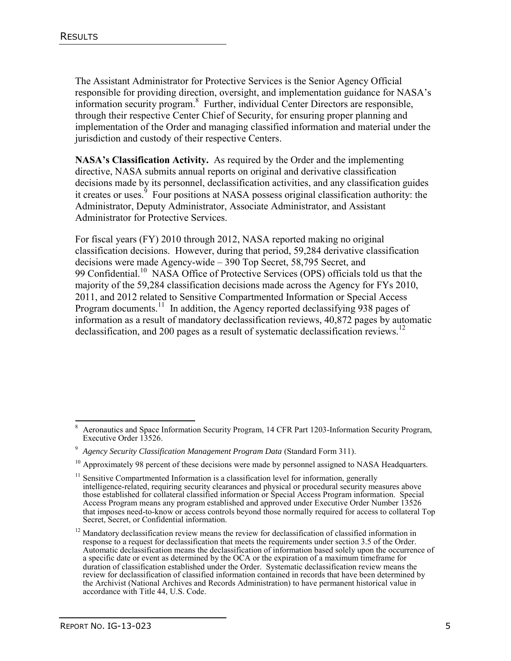The Assistant Administrator for Protective Services is the Senior Agency Official responsible for providing direction, oversight, and implementation guidance for NASA's information security program.<sup>8</sup> Further, individual Center Directors are responsible, through their respective Center Chief of Security, for ensuring proper planning and implementation of the Order and managing classified information and material under the jurisdiction and custody of their respective Centers.

**NASA's Classification Activity.** As required by the Order and the implementing directive, NASA submits annual reports on original and derivative classification decisions made by its personnel, declassification activities, and any classification guides it creates or uses.<sup>9</sup> Four positions at NASA possess original classification authority: the Administrator, Deputy Administrator, Associate Administrator, and Assistant Administrator for Protective Services.

For fiscal years (FY) 2010 through 2012, NASA reported making no original classification decisions. However, during that period, 59,284 derivative classification decisions were made Agency-wide – 390 Top Secret, 58,795 Secret, and 99 Confidential.<sup>10</sup> NASA Office of Protective Services (OPS) officials told us that the majority of the 59,284 classification decisions made across the Agency for FYs 2010, 2011, and 2012 related to Sensitive Compartmented Information or Special Access Program documents.<sup>11</sup> In addition, the Agency reported declassifying 938 pages of information as a result of mandatory declassification reviews, 40,872 pages by automatic declassification, and 200 pages as a result of systematic declassification reviews.<sup>12</sup>

 $\overline{\phantom{a}}$ 8 Aeronautics and Space Information Security Program, 14 CFR Part 1203-Information Security Program, Executive Order 13526.

<sup>9</sup> *Agency Security Classification Management Program Data* (Standard Form 311).

 $10$  Approximately 98 percent of these decisions were made by personnel assigned to NASA Headquarters.

 $11$  Sensitive Compartmented Information is a classification level for information, generally intelligence-related, requiring security clearances and physical or procedural security measures above those established for collateral classified information or Special Access Program information. Special Access Program means any program established and approved under Executive Order Number 13526 that imposes need-to-know or access controls beyond those normally required for access to collateral Top Secret, Secret, or Confidential information.

<sup>&</sup>lt;sup>12</sup> Mandatory declassification review means the review for declassification of classified information in response to a request for declassification that meets the requirements under section 3.5 of the Order. Automatic declassification means the declassification of information based solely upon the occurrence of a specific date or event as determined by the OCA or the expiration of a maximum timeframe for duration of classification established under the Order. Systematic declassification review means the review for declassification of classified information contained in records that have been determined by the Archivist (National Archives and Records Administration) to have permanent historical value in accordance with Title 44, U.S. Code.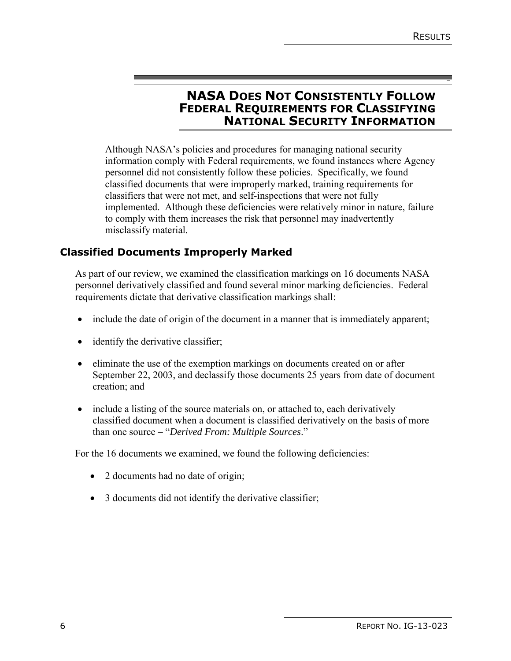**-** 

# **NASA DOES NOT CONSISTENTLY FOLLOW FEDERAL REQUIREMENTS FOR CLASSIFYING NATIONAL SECURITY INFORMATION**

Although NASA's policies and procedures for managing national security information comply with Federal requirements, we found instances where Agency personnel did not consistently follow these policies. Specifically, we found classified documents that were improperly marked, training requirements for classifiers that were not met, and self-inspections that were not fully implemented. Although these deficiencies were relatively minor in nature, failure to comply with them increases the risk that personnel may inadvertently misclassify material.

# **Classified Documents Improperly Marked**

As part of our review, we examined the classification markings on 16 documents NASA personnel derivatively classified and found several minor marking deficiencies. Federal requirements dictate that derivative classification markings shall:

- include the date of origin of the document in a manner that is immediately apparent;
- identify the derivative classifier;
- eliminate the use of the exemption markings on documents created on or after September 22, 2003, and declassify those documents 25 years from date of document creation; and
- include a listing of the source materials on, or attached to, each derivatively classified document when a document is classified derivatively on the basis of more than one source – "*Derived From: Multiple Sources*."

For the 16 documents we examined, we found the following deficiencies:

- 2 documents had no date of origin;
- 3 documents did not identify the derivative classifier;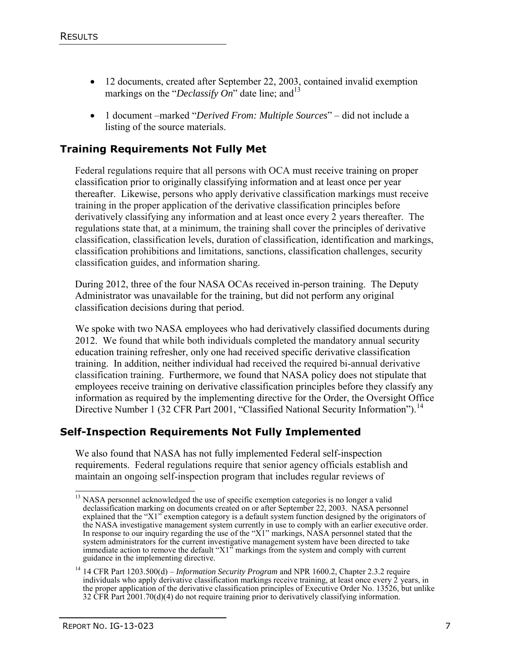- 12 documents, created after September 22, 2003, contained invalid exemption markings on the "*Declassify On*" date line; and <sup>13</sup>
- 1 document –marked "*Derived From: Multiple Sources*" did not include a listing of the source materials.

### **Training Requirements Not Fully Met**

Federal regulations require that all persons with OCA must receive training on proper classification prior to originally classifying information and at least once per year thereafter. Likewise, persons who apply derivative classification markings must receive training in the proper application of the derivative classification principles before derivatively classifying any information and at least once every 2 years thereafter. The regulations state that, at a minimum, the training shall cover the principles of derivative classification, classification levels, duration of classification, identification and markings, classification prohibitions and limitations, sanctions, classification challenges, security classification guides, and information sharing.

During 2012, three of the four NASA OCAs received in-person training. The Deputy Administrator was unavailable for the training, but did not perform any original classification decisions during that period.

We spoke with two NASA employees who had derivatively classified documents during 2012. We found that while both individuals completed the mandatory annual security education training refresher, only one had received specific derivative classification training. In addition, neither individual had received the required bi-annual derivative classification training. Furthermore, we found that NASA policy does not stipulate that employees receive training on derivative classification principles before they classify any information as required by the implementing directive for the Order, the Oversight Office Directive Number 1 (32 CFR Part 2001, "Classified National Security Information").<sup>14</sup>

#### **Self-Inspection Requirements Not Fully Implemented**

We also found that NASA has not fully implemented Federal self-inspection requirements. Federal regulations require that senior agency officials establish and maintain an ongoing self-inspection program that includes regular reviews of

 <sup>13</sup> NASA personnel acknowledged the use of specific exemption categories is no longer a valid declassification marking on documents created on or after September 22, 2003. NASA personnel explained that the "X1" exemption category is a default system function designed by the originators of the NASA investigative management system currently in use to comply with an earlier executive order. In response to our inquiry regarding the use of the "X1" markings, NASA personnel stated that the system administrators for the current investigative management system have been directed to take immediate action to remove the default "X1" markings from the system and comply with current guidance in the implementing directive.

<sup>14</sup> 14 CFR Part 1203.500(d) – *Information Security Program* and NPR 1600.2, Chapter 2.3.2 require individuals who apply derivative classification markings receive training, at least once every 2 years, in the proper application of the derivative classification principles of Executive Order No. 13526, but unlike 32 CFR Part 2001.70(d)(4) do not require training prior to derivatively classifying information.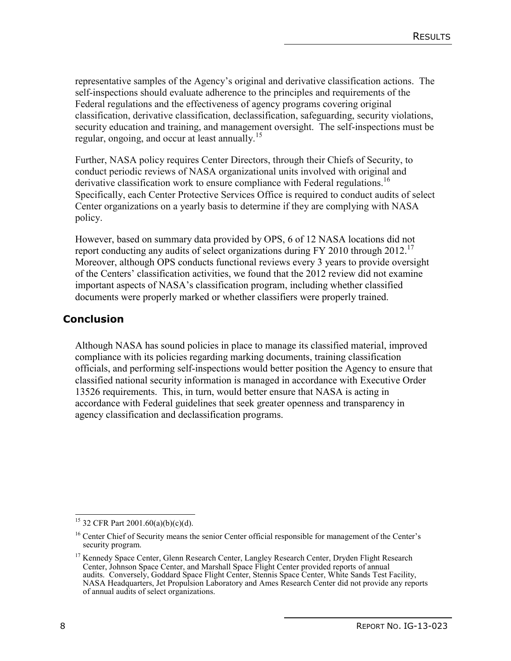representative samples of the Agency's original and derivative classification actions. The self-inspections should evaluate adherence to the principles and requirements of the Federal regulations and the effectiveness of agency programs covering original classification, derivative classification, declassification, safeguarding, security violations, security education and training, and management oversight. The self-inspections must be regular, ongoing, and occur at least annually.<sup>15</sup>

Further, NASA policy requires Center Directors, through their Chiefs of Security, to conduct periodic reviews of NASA organizational units involved with original and derivative classification work to ensure compliance with Federal regulations.<sup>16</sup> Specifically, each Center Protective Services Office is required to conduct audits of select Center organizations on a yearly basis to determine if they are complying with NASA policy.

However, based on summary data provided by OPS, 6 of 12 NASA locations did not report conducting any audits of select organizations during FY 2010 through 2012.<sup>17</sup> Moreover, although OPS conducts functional reviews every 3 years to provide oversight of the Centers' classification activities, we found that the 2012 review did not examine important aspects of NASA's classification program, including whether classified documents were properly marked or whether classifiers were properly trained.

# **Conclusion**

Although NASA has sound policies in place to manage its classified material, improved compliance with its policies regarding marking documents, training classification officials, and performing self-inspections would better position the Agency to ensure that classified national security information is managed in accordance with Executive Order 13526 requirements. This, in turn, would better ensure that NASA is acting in accordance with Federal guidelines that seek greater openness and transparency in agency classification and declassification programs.

 <sup>15</sup> 32 CFR Part 2001.60(a)(b)(c)(d).

<sup>&</sup>lt;sup>16</sup> Center Chief of Security means the senior Center official responsible for management of the Center's security program.

<sup>&</sup>lt;sup>17</sup> Kennedy Space Center, Glenn Research Center, Langley Research Center, Dryden Flight Research Center, Johnson Space Center, and Marshall Space Flight Center provided reports of annual audits. Conversely, Goddard Space Flight Center, Stennis Space Center, White Sands Test Facility, NASA Headquarters, Jet Propulsion Laboratory and Ames Research Center did not provide any reports of annual audits of select organizations.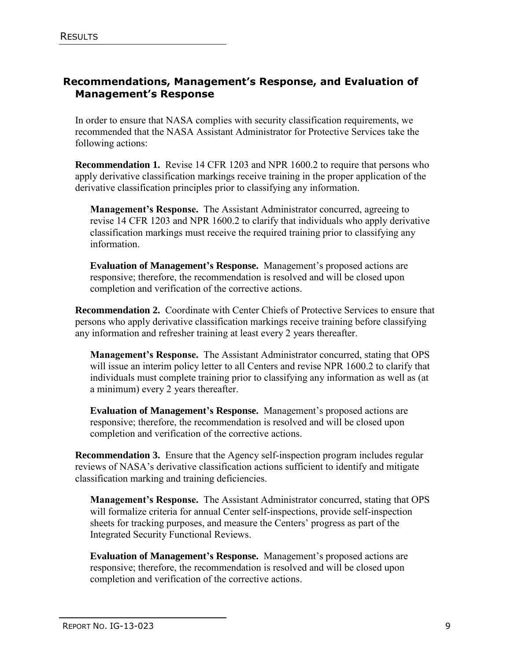# **Recommendations, Management's Response, and Evaluation of Management's Response**

In order to ensure that NASA complies with security classification requirements, we recommended that the NASA Assistant Administrator for Protective Services take the following actions:

**Recommendation 1.** Revise 14 CFR 1203 and NPR 1600.2 to require that persons who apply derivative classification markings receive training in the proper application of the derivative classification principles prior to classifying any information.

**Management's Response.** The Assistant Administrator concurred, agreeing to revise 14 CFR 1203 and NPR 1600.2 to clarify that individuals who apply derivative classification markings must receive the required training prior to classifying any information.

**Evaluation of Management's Response.** Management's proposed actions are responsive; therefore, the recommendation is resolved and will be closed upon completion and verification of the corrective actions.

**Recommendation 2.** Coordinate with Center Chiefs of Protective Services to ensure that persons who apply derivative classification markings receive training before classifying any information and refresher training at least every 2 years thereafter.

**Management's Response.** The Assistant Administrator concurred, stating that OPS will issue an interim policy letter to all Centers and revise NPR 1600.2 to clarify that individuals must complete training prior to classifying any information as well as (at a minimum) every 2 years thereafter.

**Evaluation of Management's Response.** Management's proposed actions are responsive; therefore, the recommendation is resolved and will be closed upon completion and verification of the corrective actions.

**Recommendation 3.** Ensure that the Agency self-inspection program includes regular reviews of NASA's derivative classification actions sufficient to identify and mitigate classification marking and training deficiencies.

**Management's Response.** The Assistant Administrator concurred, stating that OPS will formalize criteria for annual Center self-inspections, provide self-inspection sheets for tracking purposes, and measure the Centers' progress as part of the Integrated Security Functional Reviews.

**Evaluation of Management's Response.** Management's proposed actions are responsive; therefore, the recommendation is resolved and will be closed upon completion and verification of the corrective actions.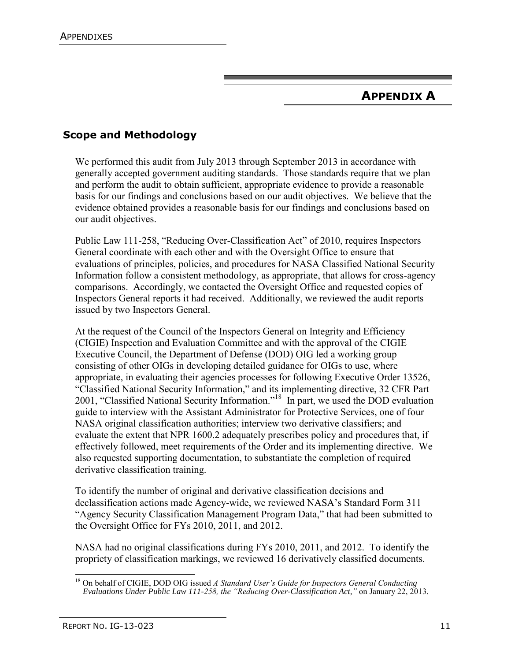# **APPENDIX A**

# **Scope and Methodology**

We performed this audit from July 2013 through September 2013 in accordance with generally accepted government auditing standards. Those standards require that we plan and perform the audit to obtain sufficient, appropriate evidence to provide a reasonable basis for our findings and conclusions based on our audit objectives. We believe that the evidence obtained provides a reasonable basis for our findings and conclusions based on our audit objectives.

Public Law 111-258, "Reducing Over-Classification Act" of 2010, requires Inspectors General coordinate with each other and with the Oversight Office to ensure that evaluations of principles, policies, and procedures for NASA Classified National Security Information follow a consistent methodology, as appropriate, that allows for cross-agency comparisons. Accordingly, we contacted the Oversight Office and requested copies of Inspectors General reports it had received. Additionally, we reviewed the audit reports issued by two Inspectors General.

At the request of the Council of the Inspectors General on Integrity and Efficiency (CIGIE) Inspection and Evaluation Committee and with the approval of the CIGIE Executive Council, the Department of Defense (DOD) OIG led a working group consisting of other OIGs in developing detailed guidance for OIGs to use, where appropriate, in evaluating their agencies processes for following Executive Order 13526, "Classified National Security Information," and its implementing directive, 32 CFR Part 2001, "Classified National Security Information."<sup>18</sup> In part, we used the DOD evaluation guide to interview with the Assistant Administrator for Protective Services, one of four NASA original classification authorities; interview two derivative classifiers; and evaluate the extent that NPR 1600.2 adequately prescribes policy and procedures that, if effectively followed, meet requirements of the Order and its implementing directive. We also requested supporting documentation, to substantiate the completion of required derivative classification training.

To identify the number of original and derivative classification decisions and declassification actions made Agency-wide, we reviewed NASA's Standard Form 311 "Agency Security Classification Management Program Data," that had been submitted to the Oversight Office for FYs 2010, 2011, and 2012.

NASA had no original classifications during FYs 2010, 2011, and 2012. To identify the propriety of classification markings, we reviewed 16 derivatively classified documents.

 <sup>18</sup> On behalf of CIGIE, DOD OIG issued *A Standard User's Guide for Inspectors General Conducting Evaluations Under Public Law 111-258, the "Reducing Over-Classification Act,"* on January 22, 2013.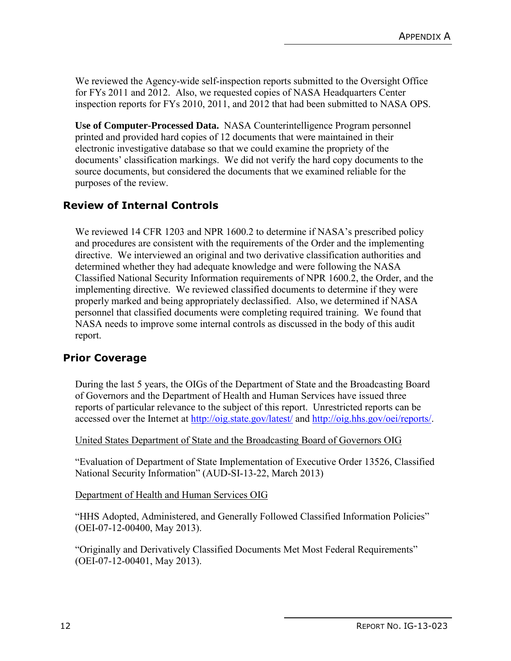We reviewed the Agency-wide self-inspection reports submitted to the Oversight Office for FYs 2011 and 2012. Also, we requested copies of NASA Headquarters Center inspection reports for FYs 2010, 2011, and 2012 that had been submitted to NASA OPS.

**Use of Computer-Processed Data.** NASA Counterintelligence Program personnel printed and provided hard copies of 12 documents that were maintained in their electronic investigative database so that we could examine the propriety of the documents' classification markings. We did not verify the hard copy documents to the source documents, but considered the documents that we examined reliable for the purposes of the review.

#### **Review of Internal Controls**

We reviewed 14 CFR 1203 and NPR 1600.2 to determine if NASA's prescribed policy and procedures are consistent with the requirements of the Order and the implementing directive. We interviewed an original and two derivative classification authorities and determined whether they had adequate knowledge and were following the NASA Classified National Security Information requirements of NPR 1600.2, the Order, and the implementing directive. We reviewed classified documents to determine if they were properly marked and being appropriately declassified. Also, we determined if NASA personnel that classified documents were completing required training. We found that NASA needs to improve some internal controls as discussed in the body of this audit report.

#### **Prior Coverage**

During the last 5 years, the OIGs of the Department of State and the Broadcasting Board of Governors and the Department of Health and Human Services have issued three reports of particular relevance to the subject of this report. Unrestricted reports can be accessed over the Internet at<http://oig.state.gov/latest/> and [http://oig.hhs.gov/oei/reports/.](http://oig.hhs.gov/oei/reports/)

United States Department of State and the Broadcasting Board of Governors OIG

"Evaluation of Department of State Implementation of Executive Order 13526, Classified National Security Information" (AUD-SI-13-22, March 2013)

Department of Health and Human Services OIG

"HHS Adopted, Administered, and Generally Followed Classified Information Policies" (OEI-07-12-00400, May 2013).

"Originally and Derivatively Classified Documents Met Most Federal Requirements" (OEI-07-12-00401, May 2013).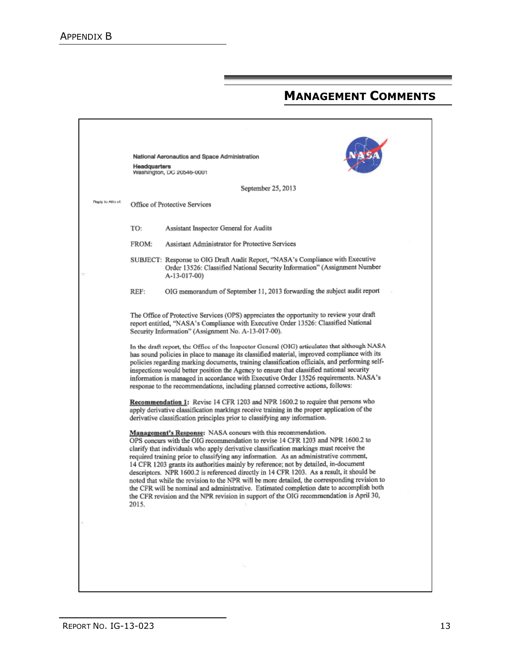# **MANAGEMENT COMMENTS**

|                                                    | Headquarters                                                                                                                                                                                                                                                                                                                                                                                                                                                                                                                                                         | National Aeronautics and Space Administration                                                                                                                                                                                                                                                                                                                                                                                                                                                                                                                                                                                                                                                                                                                                                                          |  |  |  |
|----------------------------------------------------|----------------------------------------------------------------------------------------------------------------------------------------------------------------------------------------------------------------------------------------------------------------------------------------------------------------------------------------------------------------------------------------------------------------------------------------------------------------------------------------------------------------------------------------------------------------------|------------------------------------------------------------------------------------------------------------------------------------------------------------------------------------------------------------------------------------------------------------------------------------------------------------------------------------------------------------------------------------------------------------------------------------------------------------------------------------------------------------------------------------------------------------------------------------------------------------------------------------------------------------------------------------------------------------------------------------------------------------------------------------------------------------------------|--|--|--|
|                                                    |                                                                                                                                                                                                                                                                                                                                                                                                                                                                                                                                                                      | Washington, DC 20546-0001                                                                                                                                                                                                                                                                                                                                                                                                                                                                                                                                                                                                                                                                                                                                                                                              |  |  |  |
|                                                    |                                                                                                                                                                                                                                                                                                                                                                                                                                                                                                                                                                      | September 25, 2013                                                                                                                                                                                                                                                                                                                                                                                                                                                                                                                                                                                                                                                                                                                                                                                                     |  |  |  |
| Reply to Attn of:<br>Office of Protective Services |                                                                                                                                                                                                                                                                                                                                                                                                                                                                                                                                                                      |                                                                                                                                                                                                                                                                                                                                                                                                                                                                                                                                                                                                                                                                                                                                                                                                                        |  |  |  |
|                                                    | TO:                                                                                                                                                                                                                                                                                                                                                                                                                                                                                                                                                                  | Assistant Inspector General for Audits                                                                                                                                                                                                                                                                                                                                                                                                                                                                                                                                                                                                                                                                                                                                                                                 |  |  |  |
|                                                    | FROM:                                                                                                                                                                                                                                                                                                                                                                                                                                                                                                                                                                | Assistant Administrator for Protective Services                                                                                                                                                                                                                                                                                                                                                                                                                                                                                                                                                                                                                                                                                                                                                                        |  |  |  |
|                                                    |                                                                                                                                                                                                                                                                                                                                                                                                                                                                                                                                                                      | SUBJECT: Response to OIG Draft Audit Report, "NASA's Compliance with Executive<br>Order 13526: Classified National Security Information" (Assignment Number<br>A-13-017-00)                                                                                                                                                                                                                                                                                                                                                                                                                                                                                                                                                                                                                                            |  |  |  |
|                                                    | REF:                                                                                                                                                                                                                                                                                                                                                                                                                                                                                                                                                                 | OIG memorandum of September 11, 2013 forwarding the subject audit report                                                                                                                                                                                                                                                                                                                                                                                                                                                                                                                                                                                                                                                                                                                                               |  |  |  |
|                                                    | The Office of Protective Services (OPS) appreciates the opportunity to review your draft<br>report entitled, "NASA's Compliance with Executive Order 13526: Classified National<br>Security Information" (Assignment No. A-13-017-00).                                                                                                                                                                                                                                                                                                                               |                                                                                                                                                                                                                                                                                                                                                                                                                                                                                                                                                                                                                                                                                                                                                                                                                        |  |  |  |
|                                                    | In the draft report, the Office of the Inspector General (OIG) articulates that although NASA<br>has sound policies in place to manage its classified material, improved compliance with its<br>policies regarding marking documents, training classification officials, and performing self-<br>inspections would better position the Agency to ensure that classified national security<br>information is managed in accordance with Executive Order 13526 requirements. NASA's<br>response to the recommendations, including planned corrective actions, follows: |                                                                                                                                                                                                                                                                                                                                                                                                                                                                                                                                                                                                                                                                                                                                                                                                                        |  |  |  |
|                                                    | Recommendation 1: Revise 14 CFR 1203 and NPR 1600.2 to require that persons who<br>apply derivative classification markings receive training in the proper application of the<br>derivative classification principles prior to classifying any information.                                                                                                                                                                                                                                                                                                          |                                                                                                                                                                                                                                                                                                                                                                                                                                                                                                                                                                                                                                                                                                                                                                                                                        |  |  |  |
|                                                    | 2015.                                                                                                                                                                                                                                                                                                                                                                                                                                                                                                                                                                | <b>Management's Response:</b> NASA concurs with this recommendation.<br>OPS concurs with the OIG recommendation to revise 14 CFR 1203 and NPR 1600.2 to<br>clarify that individuals who apply derivative classification markings must receive the<br>required training prior to classifying any information. As an administrative comment,<br>14 CFR 1203 grants its authorities mainly by reference; not by detailed, in-document<br>descriptors. NPR 1600.2 is referenced directly in 14 CFR 1203. As a result, it should be<br>noted that while the revision to the NPR will be more detailed, the corresponding revision to<br>the CFR will be nominal and administrative. Estimated completion date to accomplish both<br>the CFR revision and the NPR revision in support of the OIG recommendation is April 30, |  |  |  |
|                                                    |                                                                                                                                                                                                                                                                                                                                                                                                                                                                                                                                                                      |                                                                                                                                                                                                                                                                                                                                                                                                                                                                                                                                                                                                                                                                                                                                                                                                                        |  |  |  |
|                                                    |                                                                                                                                                                                                                                                                                                                                                                                                                                                                                                                                                                      |                                                                                                                                                                                                                                                                                                                                                                                                                                                                                                                                                                                                                                                                                                                                                                                                                        |  |  |  |
|                                                    |                                                                                                                                                                                                                                                                                                                                                                                                                                                                                                                                                                      |                                                                                                                                                                                                                                                                                                                                                                                                                                                                                                                                                                                                                                                                                                                                                                                                                        |  |  |  |
|                                                    |                                                                                                                                                                                                                                                                                                                                                                                                                                                                                                                                                                      |                                                                                                                                                                                                                                                                                                                                                                                                                                                                                                                                                                                                                                                                                                                                                                                                                        |  |  |  |
|                                                    |                                                                                                                                                                                                                                                                                                                                                                                                                                                                                                                                                                      |                                                                                                                                                                                                                                                                                                                                                                                                                                                                                                                                                                                                                                                                                                                                                                                                                        |  |  |  |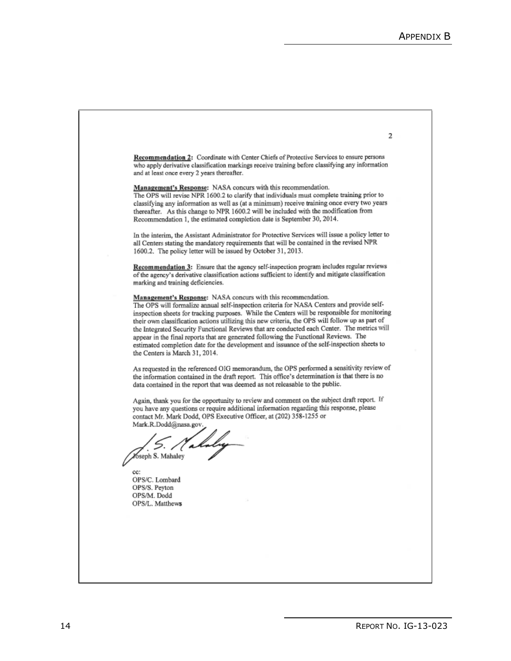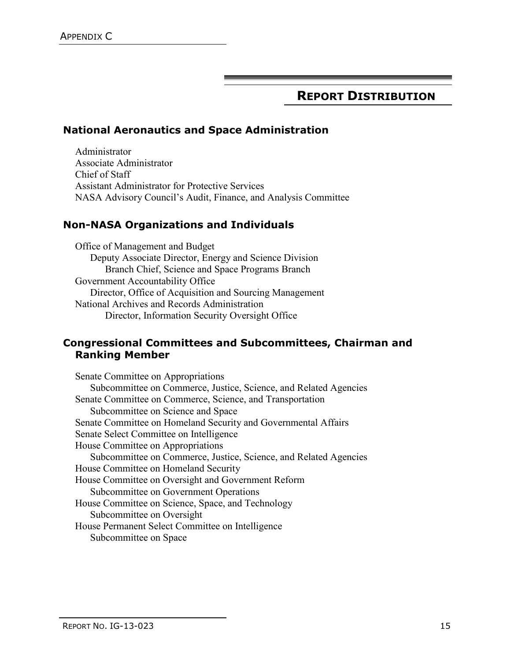# **REPORT DISTRIBUTION**

### **National Aeronautics and Space Administration**

Administrator Associate Administrator Chief of Staff Assistant Administrator for Protective Services NASA Advisory Council's Audit, Finance, and Analysis Committee

#### **Non-NASA Organizations and Individuals**

Office of Management and Budget Deputy Associate Director, Energy and Science Division Branch Chief, Science and Space Programs Branch Government Accountability Office Director, Office of Acquisition and Sourcing Management National Archives and Records Administration Director, Information Security Oversight Office

#### **Congressional Committees and Subcommittees, Chairman and Ranking Member**

Senate Committee on Appropriations Subcommittee on Commerce, Justice, Science, and Related Agencies Senate Committee on Commerce, Science, and Transportation Subcommittee on Science and Space Senate Committee on Homeland Security and Governmental Affairs Senate Select Committee on Intelligence House Committee on Appropriations Subcommittee on Commerce, Justice, Science, and Related Agencies House Committee on Homeland Security House Committee on Oversight and Government Reform Subcommittee on Government Operations House Committee on Science, Space, and Technology Subcommittee on Oversight House Permanent Select Committee on Intelligence Subcommittee on Space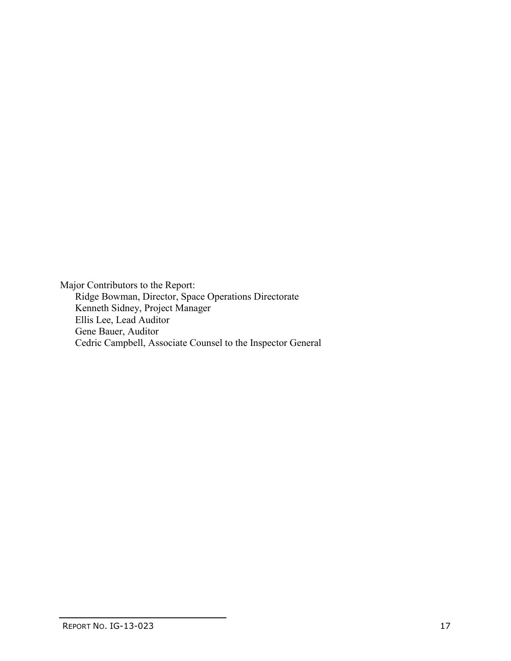Major Contributors to the Report: Ridge Bowman, Director, Space Operations Directorate Kenneth Sidney, Project Manager Ellis Lee, Lead Auditor Gene Bauer, Auditor Cedric Campbell, Associate Counsel to the Inspector General